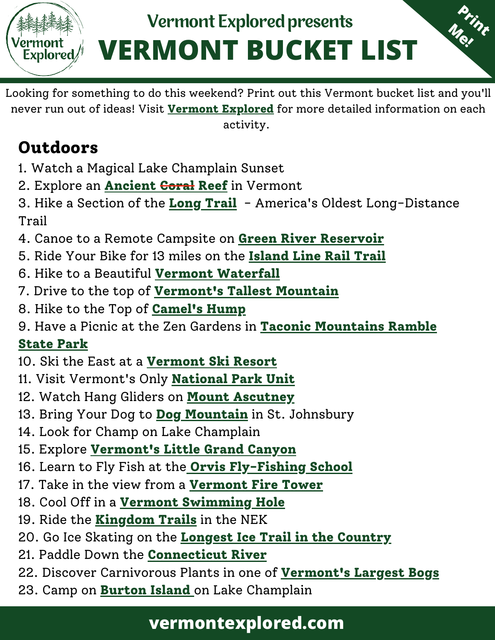# **VERMONT BUCKET LIST** Vermont Explored presents

**Print**

**Me!**

Looking for something to do this weekend? Print out this Vermont bucket list and you'll never run out of ideas! Visit **[Vermont Explored](https://vermontexplored.com/best-things-to-do-in-vermont/)** for more detailed information on each activity.

# **Outdoors**

und<br>lored/

- 1. Watch a Magical Lake Champlain Sunset
- 2. Explore an **[Ancient Coral Reef](http://ilmpt.org/wp/preserves-2/)** in Vermont
- 3. Hike a Section of the **[Long Trail](https://www.greenmountainclub.org/the-long-trail/)** America's Oldest Long-Distance Trail
- 4. Canoe to a Remote Campsite on **[Green River Reservoir](https://vtstateparks.com/grriver.html)**
- 5. Ride Your Bike for 13 miles on the **[Island Line Rail Trail](https://www.localmotion.org/island_line_trail_map)**
- 6. Hike to a Beautiful **[Vermont Waterfall](https://vermontexplored.com/beautiful-waterfalls-in-vermont/)**
- 7. Drive to the top of **[Vermont's Tallest Mountain](https://www.stowe.com/explore-the-resort/activities-and-events/auto-toll-road.aspx)**
- 8. Hike to the Top of **[Camel's Hump](https://vtstateparks.com/camelshump.html)**
- [9. Have a Picnic at the Zen Gardens in](https://vermontexplored.com/taconic-mountains-ramble-state-park-vermont/) **Taconic Mountains Ramble**

#### **State Park**

- 10. Ski the East at a **[Vermont Ski Resort](https://skivermont.com/)**
- 11. Visit Vermont's Only **[National Park Unit](https://www.nps.gov/mabi/index.htm)**
- 12. Watch Hang Gliders on **[Mount Ascutney](https://vermontexplored.com/mt-ascutney-state-park-vermont/)**
- 13. Bring Your Dog to **[Dog Mountain](https://www.dogmt.com/Dog-Mountain.html)** in St. Johnsbury
- 14. Look for Champ on Lake Champlain
- 15. Explore **[Vermont's Little Grand Canyon](https://vtstateparks.com/quechee.html)**
- 16. Learn to Fly Fish at the **[Orvis Fly-Fishing School](https://www.orvis.com/fly-fishing-schools)**
- 17. Take in the view from a **[Vermont Fire Tower](https://www.happyvermont.com/2016/08/05/vermont-fire-towers-to-visit/)**
- 18. Cool Off in a **[Vermont Swimming Hole](https://vermontexplored.com/best-vermont-swimming-holes/)**
- 19. Ride the **[Kingdom Trails](https://www.kingdomtrails.org/)** in the NEK
- 20. Go Ice Skating on the **[Longest Ice Trail in the Country](https://www.lakemoreyresort.com/activities/the-lake/)**
- 21. Paddle Down the **[Connecticut River](https://vermontexplored.com/canoeing-the-connecticut-river-in-vermont-with-great-river-outfitters/)**
- 22. Discover Carnivorous Plants in one of **[Vermont's Largest Bogs](https://dec.vermont.gov/sites/dec/files/wsm/wetlands/docs/PeachamBog_Brochure.pdf)**
- 23. Camp on **[Burton Island](https://vermontexplored.com/discover-burton-island-state-park-in-vermont/)** on Lake Champlain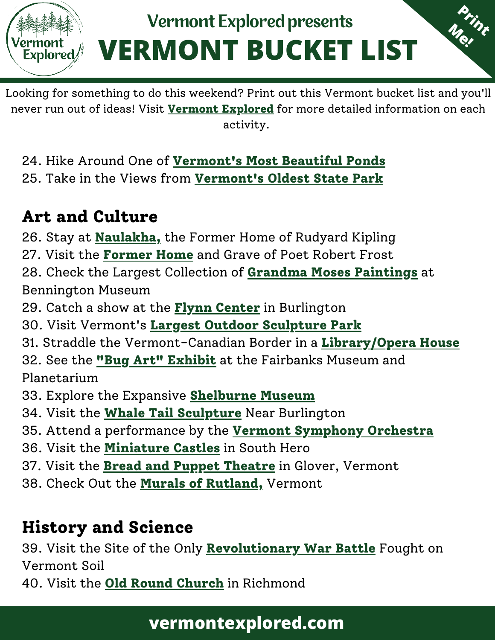

Looking for something to do this weekend? Print out this Vermont bucket list and you'll never run out of ideas! Visit **[Vermont Explored](https://vermontexplored.com/best-things-to-do-in-vermont/)** for more detailed information on each activity.

24. Hike Around One of **[Vermont's Most Beautiful Ponds](https://vermontexplored.com/fall-camping-vermont-grout-pond/)** 25. Take in the Views from **[Vermont's Oldest State Park](https://vtstateparks.com/philo.html)**

## **Art and Culture**

26. Stay at **[Naulakha,](https://landmarktrustusa.org/rudyard-kiplings-naulakha)** the Former Home of Rudyard Kipling

27. Visit the **[Former Home](https://www.bennington.edu/robert-frost-stone-house-museum)** and Grave of Poet Robert Frost

28. Check the Largest Collection of **[Grandma Moses Paintings](https://benningtonmuseum.org/portfolio-items/grandma-moses/?portfolioCats=68)** at Bennington Museum

29. Catch a show at the **[Flynn Center](https://www.flynnvt.org/)** in Burlington

30. Visit Vermont's **[Largest Outdoor Sculpture Park](https://www.svac.org/)**

31. Straddle the Vermont-Canadian Border in a **[Library/Opera House](https://haskellopera.com/)**

32. See the **["Bug Art" Exhibit](https://www.fairbanksmuseum.org/explore/bug-art)** at the Fairbanks Museum and Planetarium

33. Explore the Expansive **[Shelburne Museum](https://shelburnemuseum.org/)**

34. Visit the **[Whale Tail Sculpture](https://technologyparkvt.com/the-story-of-the-whales-tails/)** Near Burlington

35. Attend a performance by the **[Vermont Symphony Orchestra](https://www.vso.org/)**

36. Visit the **[Miniature Castles](https://www.atlasobscura.com/places/miniature-castles-of-south-hero)** in South Hero

37. Visit the **[Bread and Puppet Theatre](https://breadandpuppet.org/)** in Glover, Vermont

38. Check Out the **[Murals of Rutland,](https://vermontexplored.com/downtown-rutland-vermont-murals/)** Vermont

## **History and Science**

39. Visit the Site of the Only **[Revolutionary War Battle](https://historicsites.vermont.gov/hubbardton-battlefield)** Fought on Vermont Soil

40. Visit the **[Old Round Church](http://www.oldroundchurch.com/)** in Richmond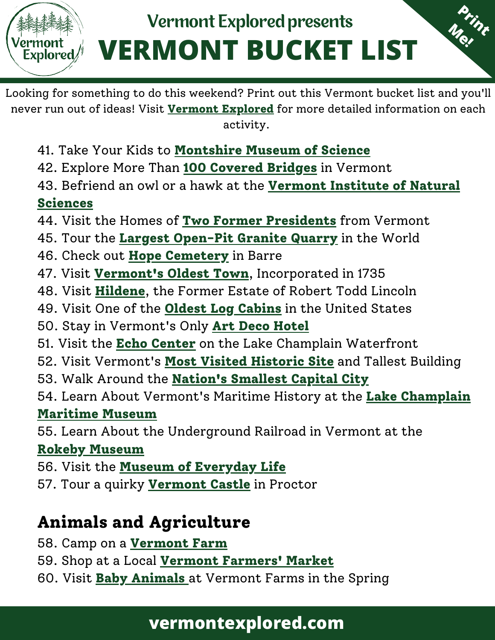# **VERMONT BUCKET LIST** Vermont Explored presents

**Print**

**Me!**

Looking for something to do this weekend? Print out this Vermont bucket list and you'll never run out of ideas! Visit **[Vermont Explored](https://vermontexplored.com/best-things-to-do-in-vermont/)** for more detailed information on each activity.

- 41. Take Your Kids to **[Montshire Museum of Science](https://www.montshire.org/)**
- 42. Explore More Than **[100 Covered Bridges](https://www.vermontbridges.org/covered_bridge_tour_state_map.shtml)** in Vermont
- [43. Befriend an owl or a hawk at the](https://vinsweb.org/) **Vermont Institute of Natural Sciences**
- 44. Visit the Homes of **[Two Former Presidents](https://historicsites.vermont.gov/calvin-coolidge)** from Vermont
- 45. Tour the **[Largest Open-Pit Granite Quarry](https://www.rockofages.com/tourism/)** in the World
- 46. Check out **[Hope Cemetery](https://www.atlasobscura.com/places/hope-cemetery)** in Barre
- 47. Visit **[Vermont's Oldest Town](http://www.westminstervthistory.org/)**, Incorporated in 1735
- 48. Visit **[Hildene](https://hildene.org/)**, the Former Estate of Robert Todd Lincoln
- 49. Visit One of the **[Oldest Log Cabins](https://vermonthistory.org/hyde-log-cabin)** in the United States
- 50. Stay in Vermont's Only **[Art Deco Hotel](https://www.latchishotel.com/)**
- 51. Visit the **[Echo Center](https://www.echovermont.org/)** on the Lake Champlain Waterfront
- 52. Visit Vermont's **[Most Visited Historic Site](https://www.benningtonbattlemonument.com/)** and Tallest Building
- 53. Walk Around the **[Nation's Smallest Capital City](http://www.montpelieralive.com/)**
- [54. Learn About Vermont's Maritime History at the](https://www.lcmm.org/) **Lake Champlain Maritime Museum**
- 55. Learn About the Underground Railroad in Vermont at the

#### **[Rokeby Museum](https://rokeby.org/)**

Explored*/* 

56. Visit the **[Museum of Everyday Life](https://museumofeverydaylife.org/)**

57. Tour a quirky **[Vermont Castle](https://www.wilsoncastle.com/)** in Proctor

# **[Animals and Agriculture](https://vermontexplored.com/wp-admin/post.php?post=2039&action=edit#block-5ec95fcb-104b-41d6-b7aa-3f82f20a589e)**

- [58. Camp on a](https://vermontexplored.com/wp-admin/post.php?post=2039&action=edit#block-096a0c5c-091a-405e-9b6f-85559d2d3acf) **[Vermont Farm](https://vermontexplored.com/why-farm-camping-in-vermont-should-be-your-next-adventure/)**
- [59. Shop at a Local](https://vermontexplored.com/wp-admin/post.php?post=2039&action=edit#block-b4f720b7-fbe2-4747-a886-04bc1cd6b1c5) **[Vermont Farmers' Market](https://diginvt.com/places/category/farmers-markets)**
- [60. Visit](https://vermontexplored.com/wp-admin/post.php?post=2039&action=edit#block-ba1289ad-6f07-4c08-8358-ed4a24b9bff8) **[Baby Animals](https://billingsfarm.org/)** [at Vermont Farms in the Spring](https://vermontexplored.com/wp-admin/post.php?post=2039&action=edit#block-ba1289ad-6f07-4c08-8358-ed4a24b9bff8)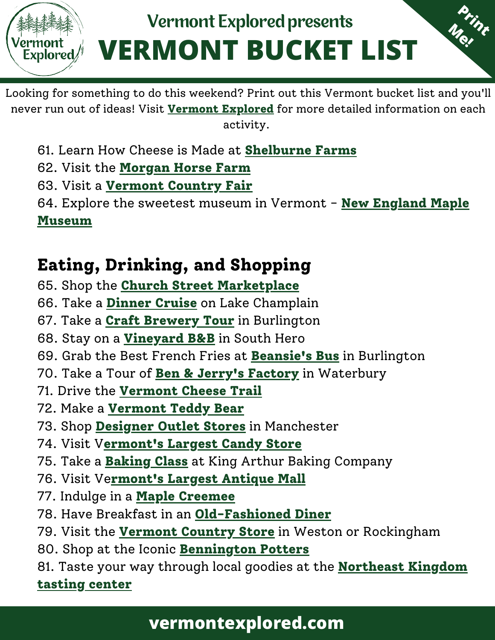

Looking for something to do this weekend? Print out this Vermont bucket list and you'll never run out of ideas! Visit **[Vermont Explored](https://vermontexplored.com/best-things-to-do-in-vermont/)** for more detailed information on each activity.

[61.](https://vermontexplored.com/wp-admin/post.php?post=2039&action=edit#block-ad4dc55b-ed9d-4dba-86a1-26838e1117da) Learn How Cheese is Made at **[Shelburne Farms](https://shelburnefarms.org/)**

- [62. Visit the](https://vermontexplored.com/wp-admin/post.php?post=2039&action=edit#block-8ac22d4f-a531-418c-bc2b-8fa4e797b8dc) **[Morgan Horse Farm](https://www.uvm.edu/cals/morganhorsefarm)**
- [63. Visit a](https://vermontexplored.com/wp-admin/post.php?post=2039&action=edit#block-e6284502-546e-47fd-9520-af31b0e32315) **[Vermont Country Fair](https://www.vermontvacation.com/things-to-do/arts-and-heritage/fairs)**

[64. Explore the sweetest museum in Vermont -](https://vermontexplored.com/wp-admin/post.php?post=2039&action=edit#block-57c3dd99-db0d-4649-9f50-cdf13b800d4b)**New England Maple Museum**

# **[Eating, Drinking, and Shopping](https://vermontexplored.com/wp-admin/post.php?post=2039&action=edit#block-3c8ab99a-3a0a-452f-b042-fd9895515dec)**

[65. Shop the](https://vermontexplored.com/wp-admin/post.php?post=2039&action=edit#block-a7d21545-782f-4a44-99e9-b377bab0867e) **[Church Street Marketplace](https://churchstmarketplace.com/)**

- [66. Take a](https://vermontexplored.com/wp-admin/post.php?post=2039&action=edit#block-a75f9981-1456-4f75-a8c8-351dc271631f) **[Dinner Cruise](https://soea.com/)** [on Lake Champlain](https://vermontexplored.com/wp-admin/post.php?post=2039&action=edit#block-a75f9981-1456-4f75-a8c8-351dc271631f)
- [67. Take a](https://vermontexplored.com/wp-admin/post.php?post=2039&action=edit#block-f26db382-824b-4603-a429-a9e568d7e1eb) **[Craft Brewery Tour](https://www.vermontbrewers.com/brewery-trails/burlington-trail-2/)** [in Burlington](https://vermontexplored.com/wp-admin/post.php?post=2039&action=edit#block-f26db382-824b-4603-a429-a9e568d7e1eb)
- [68. Stay on a](https://vermontexplored.com/wp-admin/post.php?post=2039&action=edit#block-fffd6e4e-1aa9-4652-8ded-44430875391c) **[Vineyard B&B](https://www.snowfarm.com/plan-a-visit/)** [in South Hero](https://vermontexplored.com/wp-admin/post.php?post=2039&action=edit#block-fffd6e4e-1aa9-4652-8ded-44430875391c)
- [69. Grab the Best French Fries at](https://vermontexplored.com/wp-admin/post.php?post=2039&action=edit#block-c3a55609-661e-4c40-86f5-3f2311abb8c8) **[Beansie's Bus](https://beansies.com/)** [in Burlington](https://vermontexplored.com/wp-admin/post.php?post=2039&action=edit#block-c3a55609-661e-4c40-86f5-3f2311abb8c8)
- [70. Take a Tour of](https://vermontexplored.com/wp-admin/post.php?post=2039&action=edit#block-1376efbb-1f86-44c8-ba77-c991de9362f6) **[Ben & Jerry's Factory](https://www.benjerry.com/waterbury)** [in Waterbury](https://vermontexplored.com/wp-admin/post.php?post=2039&action=edit#block-1376efbb-1f86-44c8-ba77-c991de9362f6)
- [71. Drive the](https://vermontexplored.com/wp-admin/post.php?post=2039&action=edit#block-5c8c270d-fba0-4e5a-8759-e0bc779df17e) **[Vermont Cheese Trail](https://vtcheese.com/vermont-cheese-trail-map/)**
- [72. Make a](https://vermontexplored.com/wp-admin/post.php?post=2039&action=edit#block-651423f6-c1b7-4fa6-b8cb-d1789e3432ad) **[Vermont Teddy Bear](https://www.vermontteddybear.com/)**
- [73. Shop](https://vermontexplored.com/wp-admin/post.php?post=2039&action=edit#block-1652c3b0-e63f-4951-a352-4bde11221e06) **[Designer Outlet Stores](https://manchesterdesigneroutlets.com/)** [in Manchester](https://vermontexplored.com/wp-admin/post.php?post=2039&action=edit#block-1652c3b0-e63f-4951-a352-4bde11221e06)
- [74. Visit V](https://vermontexplored.com/wp-admin/post.php?post=2039&action=edit#block-d89a67fa-9223-47ec-b92a-54d077b6b19a)**[ermont's Largest Candy Store](https://www.middleburysweets.net/)**
- [75. Take a](https://vermontexplored.com/wp-admin/post.php?post=2039&action=edit#block-6abea5fe-9a93-4966-ae3e-402f213a226e) **[Baking Class](https://www.kingarthurbaking.com/baking-school)** [at King Arthur Baking Company](https://vermontexplored.com/wp-admin/post.php?post=2039&action=edit#block-6abea5fe-9a93-4966-ae3e-402f213a226e)
- [76. Visit Ve](https://vermontexplored.com/wp-admin/post.php?post=2039&action=edit#block-2f0dddc0-4bbe-4a69-b27d-01d57c44368b)**[rmont's Largest Antique Mall](http://vermontantiquemall.com/)**
- [77. Indulge in a](https://vermontexplored.com/wp-admin/post.php?post=2039&action=edit#block-e0b909e6-3898-4ffe-b662-037bcb26ba80) **[Maple Creemee](https://newengland.com/today/travel/vermont/maple-creemee/)**
- [78. Have Breakfast in an](https://vermontexplored.com/wp-admin/post.php?post=2039&action=edit#block-e8f92b7b-38be-459a-9cf6-8f9c429c96fb) **[Old-Fashioned Diner](https://www.bluebenn.com/)**
- [79. Visit the](https://vermontexplored.com/wp-admin/post.php?post=2039&action=edit#block-86df38f8-2bfe-4246-98fd-fc9d621e4551) **[Vermont Country Store](https://www.vermontcountrystore.com/history)** [in Weston or Rockingham](https://vermontexplored.com/wp-admin/post.php?post=2039&action=edit#block-86df38f8-2bfe-4246-98fd-fc9d621e4551)
- [80. Shop at the Iconic](https://vermontexplored.com/wp-admin/post.php?post=2039&action=edit#block-d33aa9b4-2064-43fa-940e-416ad7367cb5) **[Bennington Potters](https://www.benningtonpotters.com/)**
- [81. Taste your way through local goodies at the](https://vermontexplored.com/wp-admin/post.php?post=2039&action=edit#block-4d13be36-9bae-4e45-a227-9a7911241609)**Northeast Kingdom tasting center**